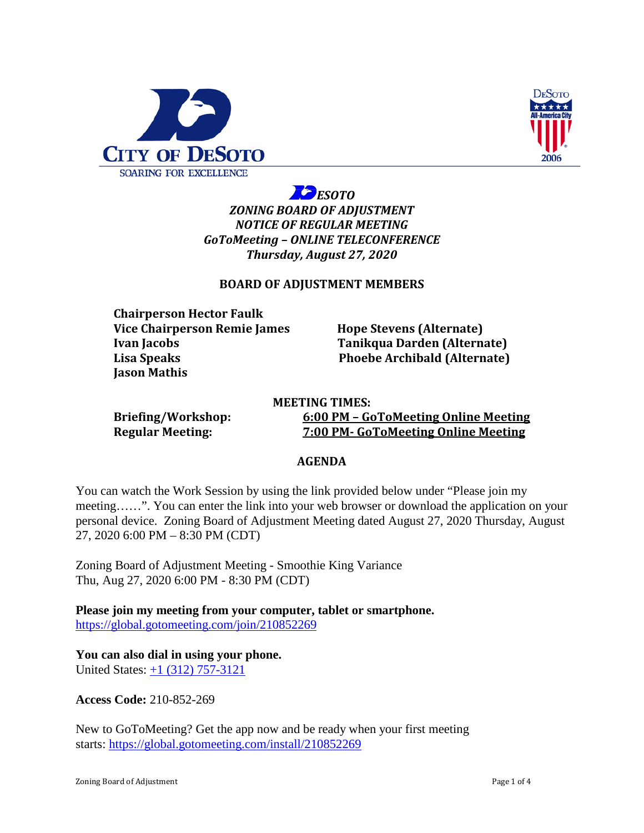



*ESOTO ZONING BOARD OF ADJUSTMENT NOTICE OF REGULAR MEETING GoToMeeting – ONLINE TELECONFERENCE Thursday, August 27, 2020*

# **BOARD OF ADJUSTMENT MEMBERS**

**Chairperson Hector Faulk Vice Chairperson Remie James Hope Stevens (Alternate) Ivan Jacobs Tanikqua Darden (Alternate) Lisa Speaks Phoebe Archibald (Alternate) Jason Mathis**

**MEETING TIMES: Briefing/Workshop: 6:00 PM – GoToMeeting Online Meeting Regular Meeting: 7:00 PM- GoToMeeting Online Meeting**

## **AGENDA**

You can watch the Work Session by using the link provided below under "Please join my meeting……". You can enter the link into your web browser or download the application on your personal device. Zoning Board of Adjustment Meeting dated August 27, 2020 Thursday, August 27, 2020 6:00 PM – 8:30 PM (CDT)

Zoning Board of Adjustment Meeting - Smoothie King Variance Thu, Aug 27, 2020 6:00 PM - 8:30 PM (CDT)

**Please join my meeting from your computer, tablet or smartphone.** <https://global.gotomeeting.com/join/210852269>

**You can also dial in using your phone.**

United States: [+1 \(312\) 757-3121](tel:+13127573121,,210852269)

**Access Code:** 210-852-269

New to GoToMeeting? Get the app now and be ready when your first meeting starts: <https://global.gotomeeting.com/install/210852269>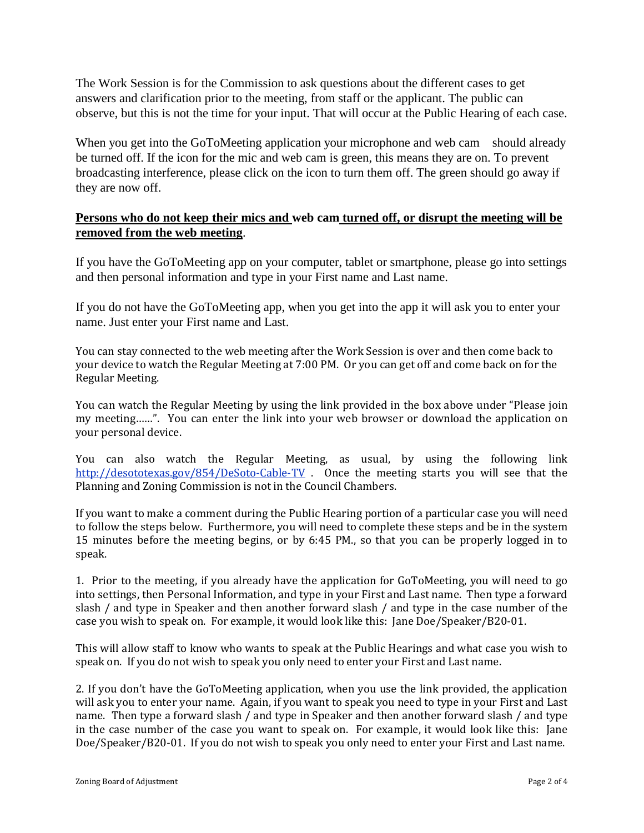The Work Session is for the Commission to ask questions about the different cases to get answers and clarification prior to the meeting, from staff or the applicant. The public can observe, but this is not the time for your input. That will occur at the Public Hearing of each case.

When you get into the GoToMeeting application your microphone and web cam should already be turned off. If the icon for the mic and web cam is green, this means they are on. To prevent broadcasting interference, please click on the icon to turn them off. The green should go away if they are now off.

# **Persons who do not keep their mics and web cam turned off, or disrupt the meeting will be removed from the web meeting**.

If you have the GoToMeeting app on your computer, tablet or smartphone, please go into settings and then personal information and type in your First name and Last name.

If you do not have the GoToMeeting app, when you get into the app it will ask you to enter your name. Just enter your First name and Last.

You can stay connected to the web meeting after the Work Session is over and then come back to your device to watch the Regular Meeting at 7:00 PM. Or you can get off and come back on for the Regular Meeting.

You can watch the Regular Meeting by using the link provided in the box above under "Please join my meeting……". You can enter the link into your web browser or download the application on your personal device.

You can also watch the Regular Meeting, as usual, by using the following link <http://desototexas.gov/854/DeSoto-Cable-TV> . Once the meeting starts you will see that the Planning and Zoning Commission is not in the Council Chambers.

If you want to make a comment during the Public Hearing portion of a particular case you will need to follow the steps below. Furthermore, you will need to complete these steps and be in the system 15 minutes before the meeting begins, or by 6:45 PM., so that you can be properly logged in to speak.

1. Prior to the meeting, if you already have the application for GoToMeeting, you will need to go into settings, then Personal Information, and type in your First and Last name. Then type a forward slash / and type in Speaker and then another forward slash / and type in the case number of the case you wish to speak on. For example, it would look like this: Jane Doe/Speaker/B20-01.

This will allow staff to know who wants to speak at the Public Hearings and what case you wish to speak on. If you do not wish to speak you only need to enter your First and Last name.

2. If you don't have the GoToMeeting application, when you use the link provided, the application will ask you to enter your name. Again, if you want to speak you need to type in your First and Last name. Then type a forward slash / and type in Speaker and then another forward slash / and type in the case number of the case you want to speak on. For example, it would look like this: Jane Doe/Speaker/B20-01. If you do not wish to speak you only need to enter your First and Last name.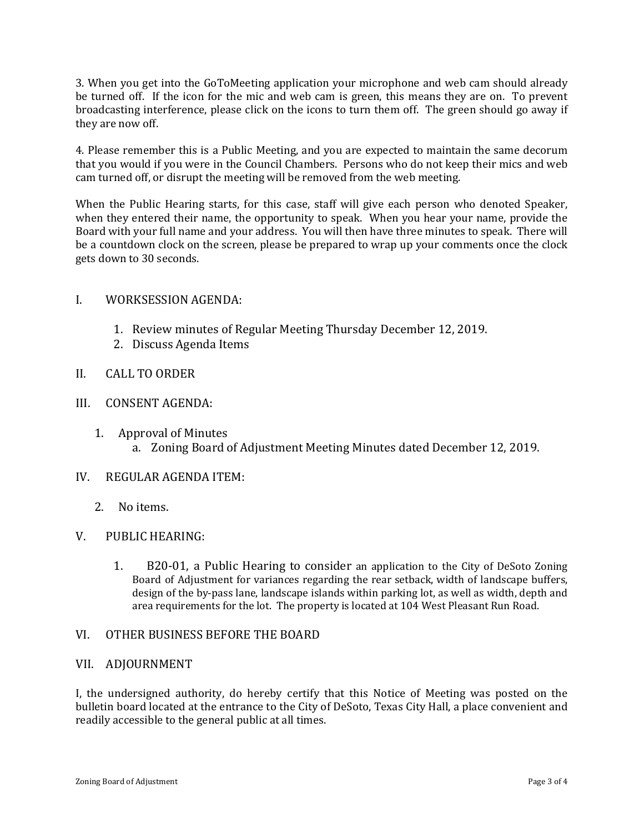3. When you get into the GoToMeeting application your microphone and web cam should already be turned off. If the icon for the mic and web cam is green, this means they are on. To prevent broadcasting interference, please click on the icons to turn them off. The green should go away if they are now off.

4. Please remember this is a Public Meeting, and you are expected to maintain the same decorum that you would if you were in the Council Chambers. Persons who do not keep their mics and web cam turned off, or disrupt the meeting will be removed from the web meeting.

When the Public Hearing starts, for this case, staff will give each person who denoted Speaker, when they entered their name, the opportunity to speak. When you hear your name, provide the Board with your full name and your address. You will then have three minutes to speak. There will be a countdown clock on the screen, please be prepared to wrap up your comments once the clock gets down to 30 seconds.

#### I. WORKSESSION AGENDA:

- 1. Review minutes of Regular Meeting Thursday December 12, 2019.
- 2. Discuss Agenda Items

## II. CALL TO ORDER

#### III. CONSENT AGENDA:

1. Approval of Minutes a. Zoning Board of Adjustment Meeting Minutes dated December 12, 2019.

## IV. REGULAR AGENDA ITEM:

2. No items.

## V. PUBLIC HEARING:

1. B20-01, a Public Hearing to consider an application to the City of DeSoto Zoning Board of Adjustment for variances regarding the rear setback, width of landscape buffers, design of the by-pass lane, landscape islands within parking lot, as well as width, depth and area requirements for the lot. The property is located at 104 West Pleasant Run Road.

## VI. OTHER BUSINESS BEFORE THE BOARD

#### VII. ADJOURNMENT

I, the undersigned authority, do hereby certify that this Notice of Meeting was posted on the bulletin board located at the entrance to the City of DeSoto, Texas City Hall, a place convenient and readily accessible to the general public at all times.